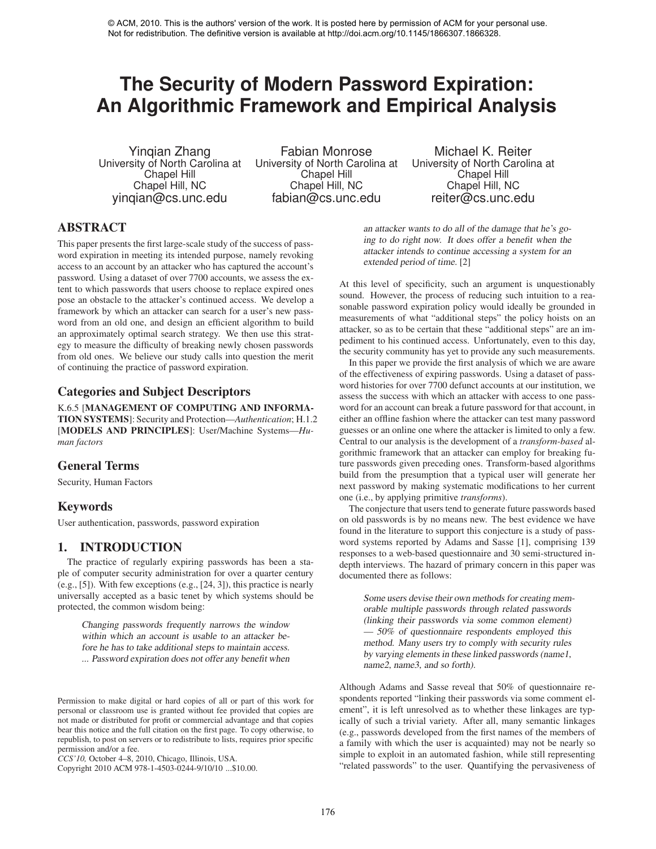# **The Security of Modern Password Expiration: An Algorithmic Framework and Empirical Analysis**

Yinqian Zhang University of North Carolina at Chapel Hill Chapel Hill, NC yinqian@cs.unc.edu

Fabian Monrose University of North Carolina at Chapel Hill Chapel Hill, NC fabian@cs.unc.edu

Michael K. Reiter University of North Carolina at Chapel Hill Chapel Hill, NC reiter@cs.unc.edu

# **ABSTRACT**

This paper presents the first large-scale study of the success of password expiration in meeting its intended purpose, namely revoking access to an account by an attacker who has captured the account's password. Using a dataset of over 7700 accounts, we assess the extent to which passwords that users choose to replace expired ones pose an obstacle to the attacker's continued access. We develop a framework by which an attacker can search for a user's new password from an old one, and design an efficient algorithm to build an approximately optimal search strategy. We then use this strategy to measure the difficulty of breaking newly chosen passwords from old ones. We believe our study calls into question the merit of continuing the practice of password expiration.

# **Categories and Subject Descriptors**

K.6.5 [**MANAGEMENT OF COMPUTING AND INFORMA-TION SYSTEMS**]: Security and Protection—*Authentication*; H.1.2 [**MODELS AND PRINCIPLES**]: User/Machine Systems—*Human factors*

# **General Terms**

Security, Human Factors

# **Keywords**

User authentication, passwords, password expiration

# **1. INTRODUCTION**

The practice of regularly expiring passwords has been a staple of computer security administration for over a quarter century (e.g., [5]). With few exceptions (e.g., [24, 3]), this practice is nearly universally accepted as a basic tenet by which systems should be protected, the common wisdom being:

Changing passwords frequently narrows the window within which an account is usable to an attacker before he has to take additional steps to maintain access. ... Password expiration does not offer any benefit when

Copyright 2010 ACM 978-1-4503-0244-9/10/10 ...\$10.00.

an attacker wants to do all of the damage that he's going to do right now. It does offer <sup>a</sup> benefit when the attacker intends to continue accessing <sup>a</sup> system for an extended period of time. [2]

At this level of specificity, such an argument is unquestionably sound. However, the process of reducing such intuition to a reasonable password expiration policy would ideally be grounded in measurements of what "additional steps" the policy hoists on an attacker, so as to be certain that these "additional steps" are an impediment to his continued access. Unfortunately, even to this day, the security community has yet to provide any such measurements.

In this paper we provide the first analysis of which we are aware of the effectiveness of expiring passwords. Using a dataset of password histories for over 7700 defunct accounts at our institution, we assess the success with which an attacker with access to one password for an account can break a future password for that account, in either an offline fashion where the attacker can test many password guesses or an online one where the attacker is limited to only a few. Central to our analysis is the development of a *transform-based* algorithmic framework that an attacker can employ for breaking future passwords given preceding ones. Transform-based algorithms build from the presumption that a typical user will generate her next password by making systematic modifications to her current one (i.e., by applying primitive *transforms*). Ack be the set of the matter of the authors' term in the set of the work of the set of the set of the set of the set of the set of the set of the set of the set of the set of the set of the set of the set of the set of th

The conjecture that users tend to generate future passwords based on old passwords is by no means new. The best evidence we have found in the literature to support this conjecture is a study of password systems reported by Adams and Sasse [1], comprising 139 responses to a web-based questionnaire and 30 semi-structured indepth interviews. The hazard of primary concern in this paper was documented there as follows:

Some users devise their own methods for creating memorable multiple passwords through related passwords (linking their passwords via some common element) — 50% of questionnaire respondents employed this method. Many users try to comply with security rules by varying elements in these linked passwords (name1, name2, name3, and so forth).

Although Adams and Sasse reveal that 50% of questionnaire respondents reported "linking their passwords via some comment element", it is left unresolved as to whether these linkages are typically of such a trivial variety. After all, many semantic linkages (e.g., passwords developed from the first names of the members of a family with which the user is acquainted) may not be nearly so simple to exploit in an automated fashion, while still representing "related passwords" to the user. Quantifying the pervasiveness of

Permission to make digital or hard copies of all or part of this work for personal or classroom use is granted without fee provided that copies are not made or distributed for profit or commercial advantage and that copies bear this notice and the full citation on the first page. To copy otherwise, to republish, to post on servers or to redistribute to lists, requires prior specific permission and/or a fee.

*CCS'10,* October 4–8, 2010, Chicago, Illinois, USA.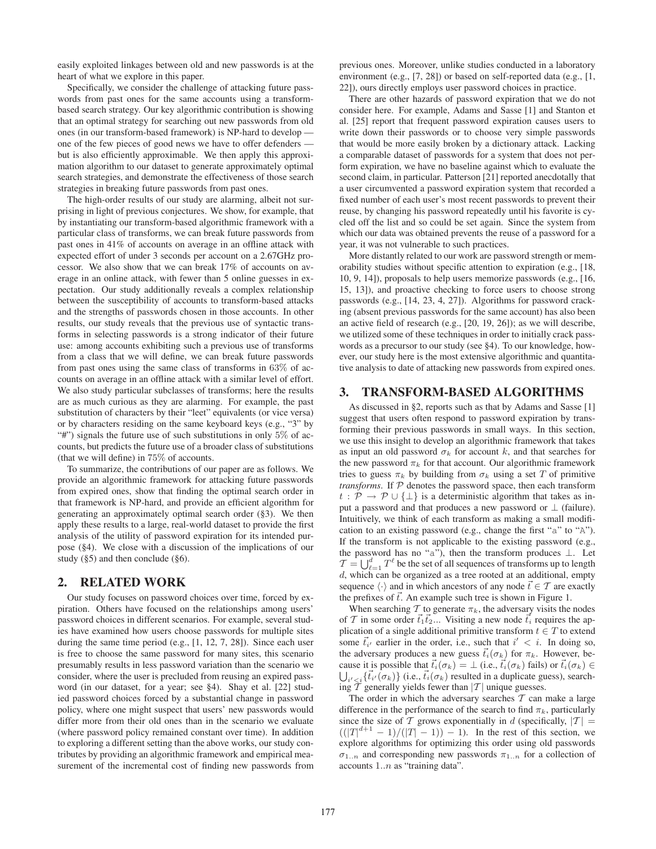easily exploited linkages between old and new passwords is at the heart of what we explore in this paper.

Specifically, we consider the challenge of attacking future passwords from past ones for the same accounts using a transformbased search strategy. Our key algorithmic contribution is showing that an optimal strategy for searching out new passwords from old ones (in our transform-based framework) is NP-hard to develop one of the few pieces of good news we have to offer defenders but is also efficiently approximable. We then apply this approximation algorithm to our dataset to generate approximately optimal search strategies, and demonstrate the effectiveness of those search strategies in breaking future passwords from past ones.

The high-order results of our study are alarming, albeit not surprising in light of previous conjectures. We show, for example, that by instantiating our transform-based algorithmic framework with a particular class of transforms, we can break future passwords from past ones in 41% of accounts on average in an offline attack with expected effort of under 3 seconds per account on a 2.67GHz processor. We also show that we can break 17% of accounts on average in an online attack, with fewer than 5 online guesses in expectation. Our study additionally reveals a complex relationship between the susceptibility of accounts to transform-based attacks and the strengths of passwords chosen in those accounts. In other results, our study reveals that the previous use of syntactic transforms in selecting passwords is a strong indicator of their future use: among accounts exhibiting such a previous use of transforms from a class that we will define, we can break future passwords from past ones using the same class of transforms in 63% of accounts on average in an offline attack with a similar level of effort. We also study particular subclasses of transforms; here the results are as much curious as they are alarming. For example, the past substitution of characters by their "leet" equivalents (or vice versa) or by characters residing on the same keyboard keys (e.g., "3" by "#") signals the future use of such substitutions in only 5% of accounts, but predicts the future use of a broader class of substitutions (that we will define) in 75% of accounts.

To summarize, the contributions of our paper are as follows. We provide an algorithmic framework for attacking future passwords from expired ones, show that finding the optimal search order in that framework is NP-hard, and provide an efficient algorithm for generating an approximately optimal search order (§3). We then apply these results to a large, real-world dataset to provide the first analysis of the utility of password expiration for its intended purpose (§4). We close with a discussion of the implications of our study  $(\S 5)$  and then conclude  $(\S 6)$ .

## **2. RELATED WORK**

Our study focuses on password choices over time, forced by expiration. Others have focused on the relationships among users' password choices in different scenarios. For example, several studies have examined how users choose passwords for multiple sites during the same time period (e.g., [1, 12, 7, 28]). Since each user is free to choose the same password for many sites, this scenario presumably results in less password variation than the scenario we consider, where the user is precluded from reusing an expired password (in our dataset, for a year; see §4). Shay et al. [22] studied password choices forced by a substantial change in password policy, where one might suspect that users' new passwords would differ more from their old ones than in the scenario we evaluate (where password policy remained constant over time). In addition to exploring a different setting than the above works, our study contributes by providing an algorithmic framework and empirical measurement of the incremental cost of finding new passwords from previous ones. Moreover, unlike studies conducted in a laboratory environment (e.g., [7, 28]) or based on self-reported data (e.g., [1, 22]), ours directly employs user password choices in practice.

There are other hazards of password expiration that we do not consider here. For example, Adams and Sasse [1] and Stanton et al. [25] report that frequent password expiration causes users to write down their passwords or to choose very simple passwords that would be more easily broken by a dictionary attack. Lacking a comparable dataset of passwords for a system that does not perform expiration, we have no baseline against which to evaluate the second claim, in particular. Patterson [21] reported anecdotally that a user circumvented a password expiration system that recorded a fixed number of each user's most recent passwords to prevent their reuse, by changing his password repeatedly until his favorite is cycled off the list and so could be set again. Since the system from which our data was obtained prevents the reuse of a password for a year, it was not vulnerable to such practices.

More distantly related to our work are password strength or memorability studies without specific attention to expiration (e.g., [18, 10, 9, 14]), proposals to help users memorize passwords (e.g., [16, 15, 13]), and proactive checking to force users to choose strong passwords (e.g., [14, 23, 4, 27]). Algorithms for password cracking (absent previous passwords for the same account) has also been an active field of research (e.g., [20, 19, 26]); as we will describe, we utilized some of these techniques in order to initially crack passwords as a precursor to our study (see §4). To our knowledge, however, our study here is the most extensive algorithmic and quantitative analysis to date of attacking new passwords from expired ones.

## **3. TRANSFORM-BASED ALGORITHMS**

As discussed in §2, reports such as that by Adams and Sasse [1] suggest that users often respond to password expiration by transforming their previous passwords in small ways. In this section, we use this insight to develop an algorithmic framework that takes as input an old password  $\sigma_k$  for account k, and that searches for the new password  $\pi_k$  for that account. Our algorithmic framework tries to guess  $\pi_k$  by building from  $\sigma_k$  using a set T of primitive *transforms*. If P denotes the password space, then each transform  $t : \mathcal{P} \to \mathcal{P} \cup {\{\perp\}}$  is a deterministic algorithm that takes as input a password and that produces a new password or  $\perp$  (failure). Intuitively, we think of each transform as making a small modification to an existing password (e.g., change the first "a" to "A"). If the transform is not applicable to the existing password (e.g., the password has no "a"), then the transform produces ⊥. Let  $\mathcal{T} = \bigcup_{\ell=1}^d T^\ell$  be the set of all sequences of transforms up to length d, which can be organized as a tree rooted at an additional, empty sequence  $\langle \cdot \rangle$  and in which ancestors of any node  $\vec{t} \in \mathcal{T}$  are exactly the prefixes of  $\vec{t}$ . An example such tree is shown in Figure 1.

When searching  $T$  to generate  $\pi_k$ , the adversary visits the nodes of T in some order  $\vec{t}_1 \vec{t}_2 ...$  Visiting a new node  $\vec{t}_i$  requires the application of a single additional primitive transform  $t \in T$  to extend some  $\vec{t}_{i'}$  earlier in the order, i.e., such that  $i' < i$ . In doing so, the adversary produces a new guess  $\vec{t}_i(\sigma_k)$  for  $\pi_k$ . However, because it is possible that  $\vec{t}_i(\sigma_k) = \perp$  (i.e.,  $\vec{t}_i(\sigma_k)$  fails) or  $\vec{t}_i(\sigma_k) \in$  $\bigcup_{i' < i} \{\vec{t}_{i'}(\sigma_k)\}\$  (i.e.,  $\vec{t}_i(\sigma_k)$ ) resulted in a duplicate guess), searching  $\tilde{T}$  generally yields fewer than  $|\tilde{T}|$  unique guesses.

The order in which the adversary searches  $T$  can make a large difference in the performance of the search to find  $\pi_k$ , particularly since the size of T grows exponentially in d (specifically,  $|T|$  =  $((|T|^{d+1} - 1)/(|T| - 1)) - 1)$ . In the rest of this section, we explore algorithms for optimizing this order using old passwords  $\sigma_{1..n}$  and corresponding new passwords  $\pi_{1..n}$  for a collection of accounts 1..n as "training data".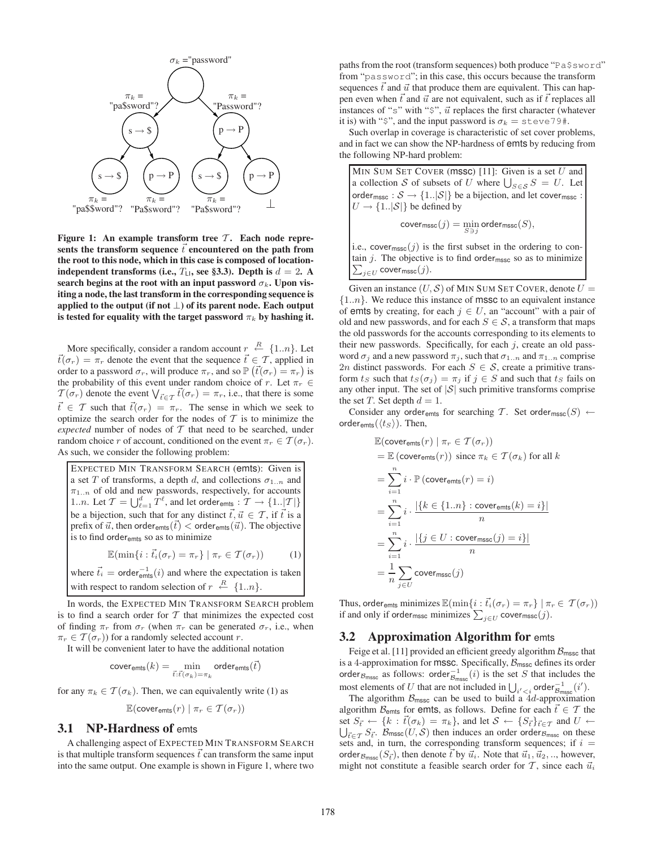

Figure 1: An example transform tree T. Each node represents the transform sequence  $\vec{t}$  encountered on the path from **the root to this node, which in this case is composed of locationindependent transforms (i.e.,**  $T_{L1}$ **, see §3.3). Depth is**  $d = 2$ **.** A search begins at the root with an input password  $\sigma_k$ . Upon vis**iting a node, the last transform in the corresponding sequence is applied to the output (if not** ⊥**) of its parent node. Each output is tested for equality with the target password**  $\pi_k$  **by hashing it.** 

More specifically, consider a random account  $r \stackrel{R}{\leftarrow} \{1..n\}$ . Let  $\vec{t}(\sigma_r) = \pi_r$  denote the event that the sequence  $\vec{t} \in \mathcal{T}$ , applied in order to a password  $\sigma_r$ , will produce  $\pi_r$ , and so  $\mathbb{P}(\vec{t}(\sigma_r) = \pi_r)$  is the probability of this event under random choice of r. Let  $\pi_r \in$  $T(\sigma_r)$  denote the event  $\bigvee_{\vec{t} \in \mathcal{T}} \vec{t}(\sigma_r) = \pi_r$ , i.e., that there is some  $\vec{t} \in \mathcal{T}$  such that  $\vec{t}(\sigma_r) = \pi_r$ . The sense in which we seek to optimize the search order for the nodes of  $T$  is to minimize the *expected* number of nodes of  $T$  that need to be searched, under random choice r of account, conditioned on the event  $\pi_r \in \mathcal{T}(\sigma_r)$ . As such, we consider the following problem:

EXPECTED MIN TRANSFORM SEARCH (emts): Given is a set T of transforms, a depth d, and collections  $\sigma_{1..n}$  and  $\pi_{1..n}$  of old and new passwords, respectively, for accounts 1..*n*. Let  $T = \bigcup_{\ell=1}^d \hat{T}^{\ell}$ , and let order<sub>emts</sub> :  $\mathcal{T} \to \{1..|T|\}$ be a bijection, such that for any distinct  $\vec{t}, \vec{u} \in \mathcal{T}$ , if  $\vec{t}$  is a prefix of  $\vec{u}$ , then order<sub>emts</sub>( $\vec{t}$ ) < order<sub>emts</sub>( $\vec{u}$ ). The objective is to find order<sub>emts</sub> so as to minimize

$$
\mathbb{E}(\min\{i:\vec{t}_i(\sigma_r)=\pi_r\} \mid \pi_r \in \mathcal{T}(\sigma_r))
$$
 (1)

where  $\vec{t}_i = \text{order}_{\text{emts}}^{-1}(i)$  and where the expectation is taken with respect to random selection of  $r \stackrel{R}{\leftarrow} \{1..n\}.$ 

In words, the EXPECTED MIN TRANSFORM SEARCH problem is to find a search order for  $T$  that minimizes the expected cost of finding  $\pi_r$  from  $\sigma_r$  (when  $\pi_r$  can be generated  $\sigma_r$ , i.e., when  $\pi_r \in \mathcal{T}(\sigma_r)$  for a randomly selected account r.

It will be convenient later to have the additional notation

$$
\mathsf{cover}_{\mathsf{emts}}(k) = \min_{\vec{t}: \vec{t}(\sigma_k) = \pi_k} \mathsf{order}_{\mathsf{emts}}(\vec{t})
$$

for any  $\pi_k \in \mathcal{T}(\sigma_k)$ . Then, we can equivalently write (1) as

$$
\mathbb{E}(\text{cover}_{\text{emts}}(r) \mid \pi_r \in \mathcal{T}(\sigma_r))
$$

#### **3.1 NP-Hardness of** emts

A challenging aspect of EXPECTED MIN TRANSFORM SEARCH is that multiple transform sequences  $\vec{t}$  can transform the same input into the same output. One example is shown in Figure 1, where two paths from the root (transform sequences) both produce "Pa\$sword" from "password"; in this case, this occurs because the transform sequences  $\vec{t}$  and  $\vec{u}$  that produce them are equivalent. This can happen even when  $\vec{t}$  and  $\vec{u}$  are not equivalent, such as if  $\vec{t}$  replaces all instances of "s" with " $\hat{y}$ ",  $\vec{u}$  replaces the first character (whatever it is) with "\$", and the input password is  $\sigma_k =$  steve 79#.

Such overlap in coverage is characteristic of set cover problems, and in fact we can show the NP-hardness of emts by reducing from the following NP-hard problem:

MIN SUM SET COVER (mssc) [11]: Given is a set  $U$  and a collection S of subsets of U where  $\bigcup_{S \in \mathcal{S}} S = U$ . Let order<sub>mssc</sub> :  $S \rightarrow \{1..\vert S \vert\}$  be a bijection, and let cover<sub>mssc</sub> :  $U \rightarrow \{1..\vert S \vert\}$  be defined by

$$
cover_{\text{mssc}}(j) = \min_{S \ni j} order_{\text{mssc}}(S),
$$

i.e., cover<sub>mssc</sub> $(j)$  is the first subset in the ordering to contain  $j$ . The objective is to find order<sub>mssc</sub> so as to minimize  $\sum_{j\in U}$  cover<sub>mssc</sub>(j).

Given an instance  $(U, S)$  of MIN SUM SET COVER, denote  $U =$  $\{1..n\}$ . We reduce this instance of mssc to an equivalent instance of emts by creating, for each  $j \in U$ , an "account" with a pair of old and new passwords, and for each  $S \in \mathcal{S}$ , a transform that maps the old passwords for the accounts corresponding to its elements to their new passwords. Specifically, for each  $j$ , create an old password  $\sigma_i$  and a new password  $\pi_i$ , such that  $\sigma_{1..n}$  and  $\pi_{1..n}$  comprise 2n distinct passwords. For each  $S \in \mathcal{S}$ , create a primitive transform  $t_S$  such that  $t_S(\sigma_i) = \pi_i$  if  $j \in S$  and such that  $t_S$  fails on any other input. The set of  $|\mathcal{S}|$  such primitive transforms comprise the set T. Set depth  $d = 1$ .

Consider any order<sub>emts</sub> for searching T. Set order<sub>mssc</sub>(S) ← order<sub>emts</sub>( $\langle ts \rangle$ ). Then,

$$
\mathbb{E}(\text{cover}_{\text{emts}}(r) \mid \pi_r \in \mathcal{T}(\sigma_r))
$$
\n
$$
= \mathbb{E}(\text{cover}_{\text{emts}}(r)) \text{ since } \pi_k \in \mathcal{T}(\sigma_k) \text{ for all } k
$$
\n
$$
= \sum_{i=1}^n i \cdot \mathbb{P}(\text{cover}_{\text{emts}}(r) = i)
$$
\n
$$
= \sum_{i=1}^n i \cdot \frac{|\{k \in \{1..n\} : \text{cover}_{\text{emts}}(k) = i\}|}{n}
$$
\n
$$
= \sum_{i=1}^n i \cdot \frac{|\{j \in U : \text{cover}_{\text{mssc}}(j) = i\}|}{n}
$$
\n
$$
= \frac{1}{n} \sum_{j \in U} \text{cover}_{\text{mssc}}(j)
$$

Thus, order<sub>emts</sub> minimizes  $\mathbb{E}(\min\{i : \vec{t}_i(\sigma_r) = \pi_r\} | \pi_r \in \mathcal{T}(\sigma_r))$ if and only if order<sub>mssc</sub> minimizes  $\sum_{j\in U}$  cover<sub>mssc</sub>(j).

#### **3.2 Approximation Algorithm for** emts

Feige et al. [11] provided an efficient greedy algorithm  $B_{\text{mssc}}$  that is a 4-approximation for mssc. Specifically,  $\mathcal{B}_{\text{mssc}}$  defines its order order $B_{\text{mssc}}$  as follows: order $B_{\text{mssc}}^{-1}(i)$  is the set S that includes the most elements of U that are not included in  $\bigcup_{i' < i} \text{order}_{\mathcal{B}_{\text{misse}}}^{-1}(i').$ 

The algorithm  $\mathcal{B}_{\text{mssc}}$  can be used to build a 4d-approximation algorithm  $B_{\text{emts}}$  for emts, as follows. Define for each  $\vec{t} \in \mathcal{T}$  the set  $S_{\vec{t}} \leftarrow \{k : \vec{t}(\sigma_k) = \pi_k\}$ , and let  $\mathcal{S} \leftarrow \{S_{\vec{t}}\}_{\vec{t} \in \mathcal{T}}$  and  $U \leftarrow$  $\bigcup_{\vec{t} \in \mathcal{T}} S_{\vec{t}}$ .  $\mathcal{B}_{\text{mssc}}(U, \mathcal{S})$  then induces an order order  $\mathcal{B}_{\text{mssc}}$  on these sets and, in turn, the corresponding transform sequences; if  $i =$ order $B_{\text{mssc}}(S_{\vec{t}})$ , then denote  $\vec{t}$  by  $\vec{u}_i$ . Note that  $\vec{u}_1, \vec{u}_2, \dots$ , however, might not constitute a feasible search order for T, since each  $\vec{u}_i$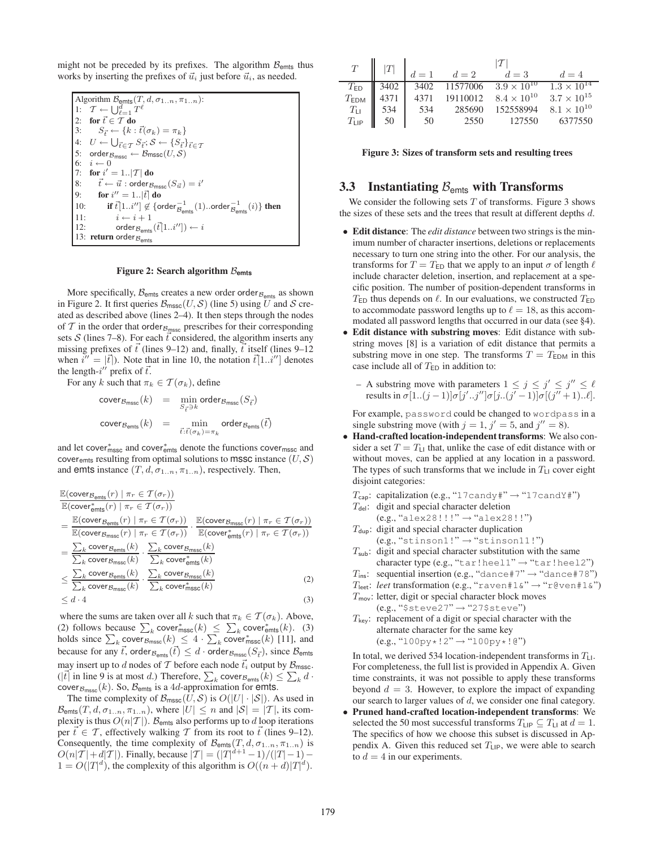might not be preceded by its prefixes. The algorithm  $B_{\text{emts}}$  thus works by inserting the prefixes of  $\vec{u}_i$  just before  $\vec{u}_i$ , as needed.

| Algorithm $\mathcal{B}_{\text{emts}}(T, d, \sigma_{1n}, \pi_{1n})$ :                                                                        |
|---------------------------------------------------------------------------------------------------------------------------------------------|
| 1: $T \leftarrow \bigcup_{\ell=1}^d T^{\ell}$                                                                                               |
| 2: for $\vec{t} \in \mathcal{T}$ do                                                                                                         |
| 3: $S_{\vec{r}} \leftarrow \{k : \vec{t}(\sigma_k) = \pi_k\}$                                                                               |
| 4: $U \leftarrow \bigcup_{\vec{t} \in \mathcal{T}} S_{\vec{t}}$ ; $S \leftarrow \{S_{\vec{t}}\}_{\vec{t} \in \mathcal{T}}$                  |
| 5: order $B_{\text{mssc}} \leftarrow B_{\text{mssc}}(U, S)$                                                                                 |
| 6: $i \leftarrow 0$                                                                                                                         |
| 7: for $i' = 1 {\cal T} $ do                                                                                                                |
| 8: $\vec{t} \leftarrow \vec{u}$ : order $B_{\text{mssc}}(S_{\vec{u}}) = i'$                                                                 |
| 9: for $i'' = 1$ . $ \vec{t} $ do                                                                                                           |
| if $\vec{t}[1i''] \notin \{\text{order}_{\mathcal{B}_{\text{omts}}}^{-1}(1)\text{order}_{\mathcal{B}_{\text{omts}}}^{-1}(i)\}\$ then<br>10: |
| 11:<br>$i \leftarrow i + 1$                                                                                                                 |
| order $B_{\text{emts}}(\vec{t}[1i'']) \leftarrow i$<br>12:                                                                                  |
| 13: return order $B_{\text{emts}}$                                                                                                          |

#### **Figure 2: Search algorithm**  $B_{\text{emts}}$

More specifically,  $\mathcal{B}_{\text{emts}}$  creates a new order order  $\mathcal{B}_{\text{emts}}$  as shown in Figure 2. It first queries  $\mathcal{B}_{\text{mssc}}(U, \mathcal{S})$  (line 5) using U and S created as described above (lines 2–4). It then steps through the nodes of  $T$  in the order that order  $B_{\text{mssc}}$  prescribes for their corresponding sets S (lines 7–8). For each  $\vec{t}$  considered, the algorithm inserts any missing prefixes of  $\vec{t}$  (lines 9–12) and, finally,  $\vec{t}$  itself (lines 9–12) when  $i'' = |\vec{t}|$ ). Note that in line 10, the notation  $\vec{t}$ [1..i''] denotes the length- $i''$  prefix of  $\vec{t}$ .

For any k such that  $\pi_k \in \mathcal{T}(\sigma_k)$ , define

$$
\begin{array}{lcl} \text{cover}_{\mathcal{B}_{\text{mssc}}}(k) & = & \min\limits_{S_{\vec{t}} \supseteq k} \text{order}_{\mathcal{B}_{\text{mssc}}}(S_{\vec{t}}) \\ \text{cover}_{\mathcal{B}_{\text{emts}}}(k) & = & \min\limits_{\vec{t}: \vec{t}(\sigma_k) = \pi_k} \text{order}_{\mathcal{B}_{\text{emts}}}(\vec{t}) \end{array}
$$

and let cover<sup>\*</sup><sub>mssc</sub> and cover<sup>\*</sup><sub>emts</sub> denote the functions cover<sub>mssc</sub> and coveremts resulting from optimal solutions to mssc instance  $(U, \mathcal{S})$ and emts instance  $(T, d, \sigma_{1..n}, \pi_{1..n})$ , respectively. Then,

$$
\frac{\mathbb{E}(\text{cover}_{\mathcal{B}_{\text{emits}}}(\mathbf{r}) \mid \pi_{\mathbf{r}} \in \mathcal{T}(\sigma_{\mathbf{r}}))}{\mathbb{E}(\text{cover}_{\mathbf{e}_{\text{emits}}}^{\ast}(\mathbf{r}) \mid \pi_{\mathbf{r}} \in \mathcal{T}(\sigma_{\mathbf{r}}))}
$$
\n
$$
= \frac{\mathbb{E}(\text{cover}_{\mathcal{B}_{\text{emits}}}(\mathbf{r}) \mid \pi_{\mathbf{r}} \in \mathcal{T}(\sigma_{\mathbf{r}}))}{\mathbb{E}(\text{cover}_{\mathcal{B}_{\text{msc}}}(\mathbf{r}) \mid \pi_{\mathbf{r}} \in \mathcal{T}(\sigma_{\mathbf{r}}))} \cdot \frac{\mathbb{E}(\text{cover}_{\mathcal{B}_{\text{msc}}}(\mathbf{r}) \mid \pi_{\mathbf{r}} \in \mathcal{T}(\sigma_{\mathbf{r}}))}{\mathbb{E}(\text{cover}_{\mathcal{B}_{\text{msc}}}(\mathbf{r}) \mid \pi_{\mathbf{r}} \in \mathcal{T}(\sigma_{\mathbf{r}}))}
$$
\n
$$
= \frac{\sum_{k} \text{cover}_{\mathcal{B}_{\text{emits}}}(\mathbf{k})}{\sum_{k} \text{cover}_{\mathcal{B}_{\text{msc}}}(\mathbf{k})} \cdot \frac{\sum_{k} \text{cover}_{\mathcal{B}_{\text{msc}}}(\mathbf{k})}{\sum_{k} \text{cover}_{\mathcal{B}_{\text{msc}}}(\mathbf{k})}
$$
\n
$$
\leq \frac{\sum_{k} \text{cover}_{\mathcal{B}_{\text{emits}}}(\mathbf{k})}{\sum_{k} \text{cover}_{\mathcal{B}_{\text{msc}}}(\mathbf{k})} \cdot \frac{\sum_{k} \text{cover}_{\mathcal{B}_{\text{msc}}}(\mathbf{k})}{\sum_{k} \text{cover}_{\mathcal{B}_{\text{msc}}}(\mathbf{k})}
$$
\n(2)

$$
\leq d \cdot 4 \tag{3}
$$

where the sums are taken over all k such that  $\pi_k \in \mathcal{T}(\sigma_k)$ . Above, (2) follows because  $\sum_{k}$  cover $*_{\text{mssc}}(k) \leq \sum_{k}$  cover $*_{\text{emts}}(k)$ . (3) holds since  $\sum_{k}$  cover  $\sum_{m}$  (k)  $\leq 4 \cdot \sum_{k}$  cover  $\sum_{m}$  (k) [11], and because for any  $\vec{t}$ , order $_{\mathcal{B}_{\mathsf{emts}}}(\vec{t}) \leq d \cdot \mathsf{order}_{\mathcal{B}_{\mathsf{mssc}}}(S_{\vec{t}})$ , since  $\mathcal{B}_{\mathsf{emts}}$ may insert up to d nodes of T before each node  $\vec{t}_i$  output by  $\mathcal{B}_{\text{mssc}}$ .  $(|\vec{t}|$  in line 9 is at most d.) Therefore,  $\sum_k \text{cover}_{\mathcal{B}_{\text{emts}}}(k) \le \sum_k d \cdot$ cover $_{\mathcal{B}_{\text{mssc}}}(k)$ . So,  $\mathcal{B}_{\text{emts}}$  is a 4d-approximation for emts.

The time complexity of  $\mathcal{B}_{\text{mssc}}(U, \mathcal{S})$  is  $O(|U| \cdot |\mathcal{S}|)$ . As used in  $\mathcal{B}_{\text{emts}}(T, d, \sigma_{1..n}, \pi_{1..n})$ , where  $|U| \leq n$  and  $|S| = |T|$ , its complexity is thus  $O(n|\mathcal{T}|)$ .  $\mathcal{B}_{\text{emts}}$  also performs up to d loop iterations per  $\vec{t} \in \mathcal{T}$ , effectively walking  $\mathcal{T}$  from its root to  $\vec{t}$  (lines 9–12). Consequently, the time complexity of  $\mathcal{B}_{\text{emts}}(T, d, \sigma_{1..n}, \pi_{1..n})$  is  $O(n|\mathcal{T}| + d|\mathcal{T}|)$ . Finally, because  $|\mathcal{T}| = (|T|^{d+1} - 1)/(|T| - 1) 1 = O(|T|^d)$ , the complexity of this algorithm is  $O((n+d)|T|^d)$ .

|                                               | $d=1$ $d=2$ $d=3$ |        |                                                             |                      |  |  |  |  |
|-----------------------------------------------|-------------------|--------|-------------------------------------------------------------|----------------------|--|--|--|--|
|                                               |                   |        |                                                             | $d=4$                |  |  |  |  |
| $T_{\text{ED}}$ 3402<br>$T_{\text{EDM}}$ 4371 |                   |        | $3402$ $11577006$ $3.9 \times 10^{10}$ $1.3 \times 10^{14}$ |                      |  |  |  |  |
|                                               | 4371              |        | 19110012 $8.4 \times 10^{10}$ $3.7 \times 10^{15}$          |                      |  |  |  |  |
| $T_{\text{LI}}$ 534                           | 534               | 285690 | 152558994                                                   | $8.1 \times 10^{10}$ |  |  |  |  |
| $T_{\text{LIP}}$ 50                           | 50                | 2550   | 127550                                                      | 6377550              |  |  |  |  |

**Figure 3: Sizes of transform sets and resulting trees**

## **3.3 Instantiating** Bemts **with Transforms**

We consider the following sets  $T$  of transforms. Figure 3 shows the sizes of these sets and the trees that result at different depths d.

- **Edit distance**: The *edit distance* between two strings is the minimum number of character insertions, deletions or replacements necessary to turn one string into the other. For our analysis, the transforms for  $T = T_{ED}$  that we apply to an input  $\sigma$  of length  $\ell$ include character deletion, insertion, and replacement at a specific position. The number of position-dependent transforms in  $T_{ED}$  thus depends on  $\ell$ . In our evaluations, we constructed  $T_{ED}$ to accommodate password lengths up to  $\ell = 18$ , as this accommodated all password lengths that occurred in our data (see §4).
- **Edit distance with substring moves**: Edit distance with substring moves [8] is a variation of edit distance that permits a substring move in one step. The transforms  $T = T_{\text{EDM}}$  in this case include all of  $T_{ED}$  in addition to:
	- A substring move with parameters  $1 \leq j \leq j' \leq j'' \leq \ell$ results in  $\sigma[1..(j-1)]\sigma[j'..j'']\sigma[j..(j'-1)]\sigma[(j''+1)..l].$

For example, password could be changed to wordpass in a single substring move (with  $j = 1$ ,  $j' = 5$ , and  $j'' = 8$ ).

• **Hand-crafted location-independent transforms**: We also consider a set  $T = T_{\text{L1}}$  that, unlike the case of edit distance with or without moves, can be applied at any location in a password. The types of such transforms that we include in  $T_{\text{LI}}$  cover eight disjoint categories:

 $T_{\text{cap}}$ : capitalization (e.g., "17candy#"  $\rightarrow$  "17candY#")

- $T_{del}$ : digit and special character deletion
	- (e.g., "alex28!!!" → "alex28!!")
- $T_{\text{dup}}$ : digit and special character duplication  $(e.g., "stinson1!" \rightarrow "stinson11!")$
- $T_{sub}$ : digit and special character substitution with the same character type (e.g., "tar!heel1" → "tar!heel2")
- $T_{\text{ins}}$ : sequential insertion (e.g., "dance#7"  $\rightarrow$  "dance#78")
- $T_{\text{leet}}$ : *leet* transformation (e.g., "raven#1&"  $\rightarrow$  "r@ven#1&")
- Tmov: letter, digit or special character block moves
	- $(e.g., "$steve27" \rightarrow "27$steve")$
- $T_{\text{key}}$ : replacement of a digit or special character with the alternate character for the same key  $(e.g., "100py*!2" \rightarrow "100py*!@")$

In total, we derived 534 location-independent transforms in  $T_{\text{L}}$ . For completeness, the full list is provided in Appendix A. Given time constraints, it was not possible to apply these transforms beyond  $d = 3$ . However, to explore the impact of expanding our search to larger values of d, we consider one final category.

• **Pruned hand-crafted location-independent transforms**: We selected the 50 most successful transforms  $T_{\text{LIP}} \subseteq T_{\text{LI}}$  at  $d = 1$ . The specifics of how we choose this subset is discussed in Appendix A. Given this reduced set  $T_{\text{LIP}}$ , we were able to search to  $d = 4$  in our experiments.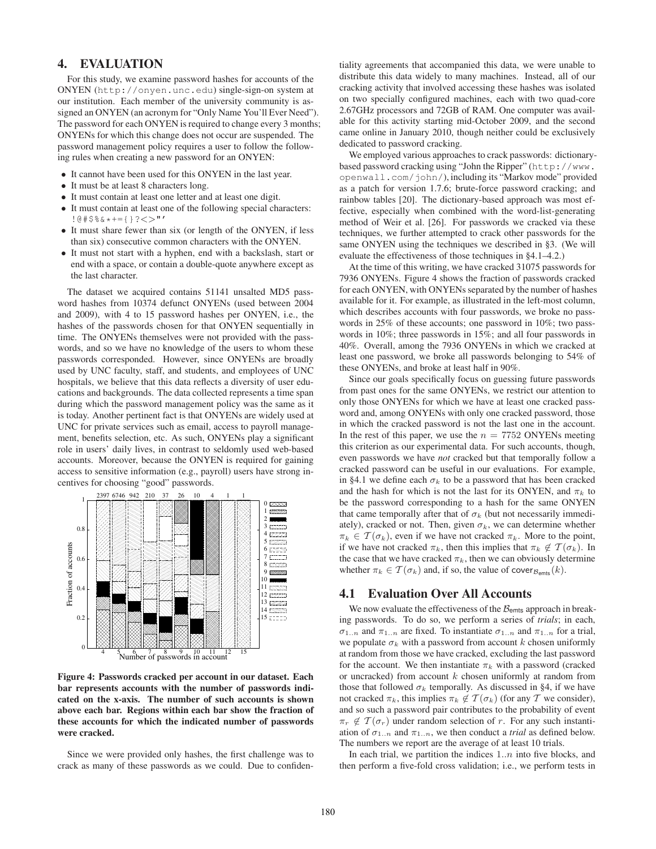# **4. EVALUATION**

For this study, we examine password hashes for accounts of the ONYEN (http://onyen.unc.edu) single-sign-on system at our institution. Each member of the university community is assigned an ONYEN (an acronym for "Only Name You'll Ever Need"). The password for each ONYEN is required to change every 3 months; ONYENs for which this change does not occur are suspended. The password management policy requires a user to follow the following rules when creating a new password for an ONYEN:

- It cannot have been used for this ONYEN in the last year.
- It must be at least 8 characters long.
- It must contain at least one letter and at least one digit.
- It must contain at least one of the following special characters: !@#\$%&\*+={}?<>"'
- It must share fewer than six (or length of the ONYEN, if less than six) consecutive common characters with the ONYEN.
- It must not start with a hyphen, end with a backslash, start or end with a space, or contain a double-quote anywhere except as the last character.

The dataset we acquired contains 51141 unsalted MD5 password hashes from 10374 defunct ONYENs (used between 2004 and 2009), with 4 to 15 password hashes per ONYEN, i.e., the hashes of the passwords chosen for that ONYEN sequentially in time. The ONYENs themselves were not provided with the passwords, and so we have no knowledge of the users to whom these passwords corresponded. However, since ONYENs are broadly used by UNC faculty, staff, and students, and employees of UNC hospitals, we believe that this data reflects a diversity of user educations and backgrounds. The data collected represents a time span during which the password management policy was the same as it is today. Another pertinent fact is that ONYENs are widely used at UNC for private services such as email, access to payroll management, benefits selection, etc. As such, ONYENs play a significant role in users' daily lives, in contrast to seldomly used web-based accounts. Moreover, because the ONYEN is required for gaining access to sensitive information (e.g., payroll) users have strong incentives for choosing "good" passwords.



**Figure 4: Passwords cracked per account in our dataset. Each bar represents accounts with the number of passwords indicated on the x-axis. The number of such accounts is shown above each bar. Regions within each bar show the fraction of these accounts for which the indicated number of passwords were cracked.**

Since we were provided only hashes, the first challenge was to crack as many of these passwords as we could. Due to confidentiality agreements that accompanied this data, we were unable to distribute this data widely to many machines. Instead, all of our cracking activity that involved accessing these hashes was isolated on two specially configured machines, each with two quad-core 2.67GHz processors and 72GB of RAM. One computer was available for this activity starting mid-October 2009, and the second came online in January 2010, though neither could be exclusively dedicated to password cracking.

We employed various approaches to crack passwords: dictionarybased password cracking using "John the Ripper" (http://www. openwall.com/john/), including its "Markov mode" provided as a patch for version 1.7.6; brute-force password cracking; and rainbow tables [20]. The dictionary-based approach was most effective, especially when combined with the word-list-generating method of Weir et al. [26]. For passwords we cracked via these techniques, we further attempted to crack other passwords for the same ONYEN using the techniques we described in §3. (We will evaluate the effectiveness of those techniques in §4.1–4.2.)

At the time of this writing, we have cracked 31075 passwords for 7936 ONYENs. Figure 4 shows the fraction of passwords cracked for each ONYEN, with ONYENs separated by the number of hashes available for it. For example, as illustrated in the left-most column, which describes accounts with four passwords, we broke no passwords in 25% of these accounts; one password in 10%; two passwords in 10%; three passwords in 15%; and all four passwords in 40%. Overall, among the 7936 ONYENs in which we cracked at least one password, we broke all passwords belonging to 54% of these ONYENs, and broke at least half in 90%.

Since our goals specifically focus on guessing future passwords from past ones for the same ONYENs, we restrict our attention to only those ONYENs for which we have at least one cracked password and, among ONYENs with only one cracked password, those in which the cracked password is not the last one in the account. In the rest of this paper, we use the  $n = 7752$  ONYENs meeting this criterion as our experimental data. For such accounts, though, even passwords we have *not* cracked but that temporally follow a cracked password can be useful in our evaluations. For example, in §4.1 we define each  $\sigma_k$  to be a password that has been cracked and the hash for which is not the last for its ONYEN, and  $\pi_k$  to be the password corresponding to a hash for the same ONYEN that came temporally after that of  $\sigma_k$  (but not necessarily immediately), cracked or not. Then, given  $\sigma_k$ , we can determine whether  $\pi_k \in \mathcal{T}(\sigma_k)$ , even if we have not cracked  $\pi_k$ . More to the point, if we have not cracked  $\pi_k$ , then this implies that  $\pi_k \notin \mathcal{T}(\sigma_k)$ . In the case that we have cracked  $\pi_k$ , then we can obviously determine whether  $\pi_k \in \mathcal{T}(\sigma_k)$  and, if so, the value of cover  $\mathcal{B}_{\text{emts}}(k)$ .

### **4.1 Evaluation Over All Accounts**

We now evaluate the effectiveness of the  $B_{\text{emts}}$  approach in breaking passwords. To do so, we perform a series of *trials*; in each,  $\sigma_{1..n}$  and  $\pi_{1..n}$  are fixed. To instantiate  $\sigma_{1..n}$  and  $\pi_{1..n}$  for a trial, we populate  $\sigma_k$  with a password from account k chosen uniformly at random from those we have cracked, excluding the last password for the account. We then instantiate  $\pi_k$  with a password (cracked or uncracked) from account  $k$  chosen uniformly at random from those that followed  $\sigma_k$  temporally. As discussed in §4, if we have not cracked  $\pi_k$ , this implies  $\pi_k \notin \mathcal{T}(\sigma_k)$  (for any T we consider), and so such a password pair contributes to the probability of event  $\pi_r \notin \mathcal{T}(\sigma_r)$  under random selection of r. For any such instantiation of  $\sigma_{1..n}$  and  $\pi_{1..n}$ , we then conduct a *trial* as defined below. The numbers we report are the average of at least 10 trials.

In each trial, we partition the indices  $1..n$  into five blocks, and then perform a five-fold cross validation; i.e., we perform tests in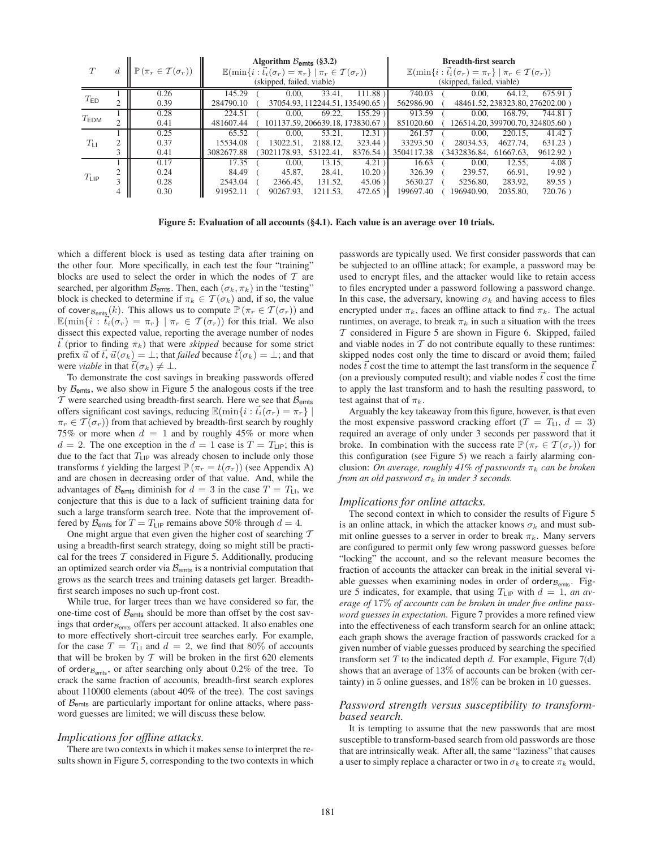| T                | $\mathbb{P}(\pi_r \in \mathcal{T}(\sigma_r))$ |                                       | Algorithm $\mathcal{B}_{\text{emts}}$ (§3.2)<br>(skipped, failed, viable) | $\mathbb{E}(\min\{i:\vec{t}_i(\sigma_r)=\pi_r\}\mid \pi_r\in \mathcal{T}(\sigma_r))$ |                                           | <b>Breadth-first search</b><br>$\mathbb{E}(\min\{i:\vec{t}_i(\sigma_r)=\pi_r\}\mid \pi_r\in\mathcal{T}(\sigma_r))$<br>(skipped, failed, viable) |  |                                            |                                         |                                           |  |
|------------------|-----------------------------------------------|---------------------------------------|---------------------------------------------------------------------------|--------------------------------------------------------------------------------------|-------------------------------------------|-------------------------------------------------------------------------------------------------------------------------------------------------|--|--------------------------------------------|-----------------------------------------|-------------------------------------------|--|
| $T_{ED}$         | 0.26<br>0.39                                  | 145.29<br>284790.10                   | 0.00.                                                                     | 33.41.<br>37054.93, 112244.51, 135490.65)                                            | 111.88                                    | 740.03<br>562986.90                                                                                                                             |  | 0.00.                                      | 64.12.                                  | 675.91<br>48461.52, 238323.80, 276202.00) |  |
| $T_{\sf EDM}$    | 0.28<br>0.41                                  | 224.51<br>481607.44                   | 0.00.                                                                     | 69.22.<br>101137.59.206639.18.173830.67)                                             | 155.29                                    | 913.59<br>851020.60                                                                                                                             |  | 0.00.                                      | 168.79.                                 | 744.81)<br>126514.20.399700.70.324805.60) |  |
| $T_{\text{L}}$   | 0.25<br>0.37<br>0.41                          | 65.52<br>15534.08<br>3082677.88       | 0.00.<br>13022.51.<br>3021178.93.                                         | 53.21.<br>2188.12.<br>53122.41.                                                      | 12.31<br>$323.44$ )<br>8376.54            | 261.57<br>33293.50<br>3504117.38                                                                                                                |  | 0.00.<br>28034.53.<br>3432836.84.          | 220.15.<br>4627.74.<br>61667.63,        | 41.42)<br>631.23)<br>9612.92)             |  |
| $T_{\text{LIP}}$ | 0.17<br>0.24<br>0.28<br>0.30                  | 17.35<br>84.49<br>2543.04<br>91952.11 | 0.00.<br>45.87.<br>2366.45.<br>90267.93.                                  | 13.15.<br>28.41.<br>131.52.<br>1211.53.                                              | 4.21<br>$10.20$ )<br>$45.06$ )<br>472.65) | 16.63<br>326.39<br>5630.27<br>199697.40                                                                                                         |  | 0.00.<br>239.57.<br>5256.80.<br>196940.90. | 12.55.<br>66.91.<br>283.92.<br>2035.80. | 4.08<br>19.92)<br>89.55)<br>$720.76$ )    |  |

**Figure 5: Evaluation of all accounts (§4.1). Each value is an average over 10 trials.**

which a different block is used as testing data after training on the other four. More specifically, in each test the four "training" blocks are used to select the order in which the nodes of  $T$  are searched, per algorithm  $\mathcal{B}_{\text{emts}}$ . Then, each  $(\sigma_k, \pi_k)$  in the "testing" block is checked to determine if  $\pi_k \in \mathcal{T}(\sigma_k)$  and, if so, the value of cover $B_{\text{emts}}(k)$ . This allows us to compute  $\mathbb{P}(\pi_r \in \mathcal{T}(\sigma_r))$  and  $\mathbb{E}(\min\{i : t_i(\sigma_r) = \pi_r\} \mid \pi_r \in \mathcal{T}(\sigma_r))$  for this trial. We also dissect this expected value, reporting the average number of nodes  $t$  (prior to finding  $\pi_k$ ) that were *skipped* because for some strict prefix  $\vec{u}$  of  $\vec{t}$ ,  $\vec{u}(\sigma_k) = \perp$ ; that *failed* because  $\vec{t}(\sigma_k) = \perp$ ; and that were *viable* in that  $\vec{t}(\sigma_k) \neq \perp$ .

To demonstrate the cost savings in breaking passwords offered by Bemts, we also show in Figure 5 the analogous costs if the tree  $T$  were searched using breadth-first search. Here we see that  $B_{\text{emts}}$ offers significant cost savings, reducing  $\mathbb{E}(\min\{i : \vec{t}_i(\sigma_r) = \pi_r\})$  $\pi_r \in \mathcal{T}(\sigma_r)$  from that achieved by breadth-first search by roughly 75% or more when  $d = 1$  and by roughly 45% or more when  $d = 2$ . The one exception in the  $d = 1$  case is  $T = T_{\text{LIP}}$ ; this is due to the fact that  $T_{LIP}$  was already chosen to include only those transforms t yielding the largest  $\mathbb{P}(\pi_r = t(\sigma_r))$  (see Appendix A) and are chosen in decreasing order of that value. And, while the advantages of  $\mathcal{B}_{\text{emts}}$  diminish for  $d = 3$  in the case  $T = T_{\text{LI}}$ , we conjecture that this is due to a lack of sufficient training data for such a large transform search tree. Note that the improvement offered by  $\mathcal{B}_{\text{emts}}$  for  $T = T_{\text{LP}}$  remains above 50% through  $d = 4$ .

One might argue that even given the higher cost of searching  $T$ using a breadth-first search strategy, doing so might still be practical for the trees  $T$  considered in Figure 5. Additionally, producing an optimized search order via  $\mathcal{B}_{\text{emts}}$  is a nontrivial computation that grows as the search trees and training datasets get larger. Breadthfirst search imposes no such up-front cost.

While true, for larger trees than we have considered so far, the one-time cost of  $B_{\text{emts}}$  should be more than offset by the cost savings that order $B_{\text{emts}}$  offers per account attacked. It also enables one to more effectively short-circuit tree searches early. For example, for the case  $T = T_{L1}$  and  $d = 2$ , we find that 80% of accounts that will be broken by  $T$  will be broken in the first 620 elements of order $B_{\text{emts}}$ , or after searching only about 0.2% of the tree. To crack the same fraction of accounts, breadth-first search explores about 110000 elements (about 40% of the tree). The cost savings of Bemts are particularly important for online attacks, where password guesses are limited; we will discuss these below.

#### *Implications for offline attacks.*

There are two contexts in which it makes sense to interpret the results shown in Figure 5, corresponding to the two contexts in which

passwords are typically used. We first consider passwords that can be subjected to an offline attack; for example, a password may be used to encrypt files, and the attacker would like to retain access to files encrypted under a password following a password change. In this case, the adversary, knowing  $\sigma_k$  and having access to files encrypted under  $\pi_k$ , faces an offline attack to find  $\pi_k$ . The actual runtimes, on average, to break  $\pi_k$  in such a situation with the trees  $T$  considered in Figure 5 are shown in Figure 6. Skipped, failed and viable nodes in  $T$  do not contribute equally to these runtimes: skipped nodes cost only the time to discard or avoid them; failed nodes  $\vec{t}$  cost the time to attempt the last transform in the sequence  $\vec{t}$ (on a previously computed result); and viable nodes  $\vec{t}$  cost the time to apply the last transform and to hash the resulting password, to test against that of  $\pi_k$ .

Arguably the key takeaway from this figure, however, is that even the most expensive password cracking effort  $(T = T_L, d = 3)$ required an average of only under 3 seconds per password that it broke. In combination with the success rate  $\mathbb{P}(\pi_r \in \mathcal{T}(\sigma_r))$  for this configuration (see Figure 5) we reach a fairly alarming conclusion: *On average, roughly 41% of passwords*  $\pi_k$  *can be broken from an old password*  $\sigma_k$  *in under 3 seconds.* 

#### *Implications for online attacks.*

The second context in which to consider the results of Figure 5 is an online attack, in which the attacker knows  $\sigma_k$  and must submit online guesses to a server in order to break  $\pi_k$ . Many servers are configured to permit only few wrong password guesses before "locking" the account, and so the relevant measure becomes the fraction of accounts the attacker can break in the initial several viable guesses when examining nodes in order of order $_{\mathcal{B}_{\mathsf{emts}}}$ . Figure 5 indicates, for example, that using  $T_{\text{LP}}$  with  $d = 1$ , an av*erage of* 17% *of accounts can be broken in under five online password guesses in expectation*. Figure 7 provides a more refined view into the effectiveness of each transform search for an online attack; each graph shows the average fraction of passwords cracked for a given number of viable guesses produced by searching the specified transform set  $T$  to the indicated depth  $d$ . For example, Figure  $7(d)$ shows that an average of 13% of accounts can be broken (with certainty) in 5 online guesses, and 18% can be broken in 10 guesses.

#### *Password strength versus susceptibility to transformbased search.*

It is tempting to assume that the new passwords that are most susceptible to transform-based search from old passwords are those that are intrinsically weak. After all, the same "laziness" that causes a user to simply replace a character or two in  $\sigma_k$  to create  $\pi_k$  would,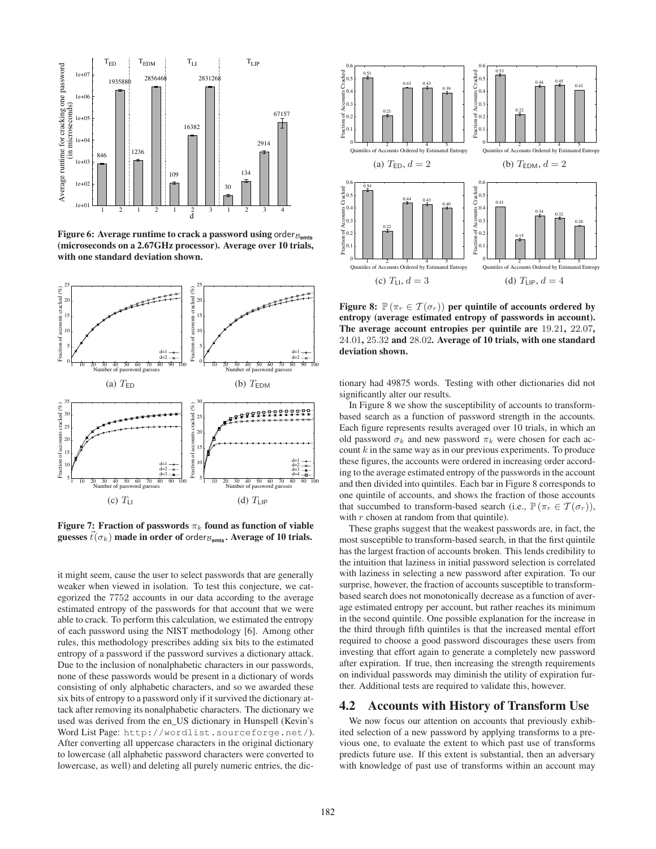

**Figure 6: Average runtime to crack a password using order**  $B_{\text{emts}}$ **(microseconds on a 2.67GHz processor). Average over 10 trials, with one standard deviation shown.**



**Figure 7: Fraction of passwords**  $\pi_k$  **found as function of viable guesses**  $\vec{t}(\sigma_k)$  **made in order of** order<sub>Bemts</sub>. Average of 10 trials.

it might seem, cause the user to select passwords that are generally weaker when viewed in isolation. To test this conjecture, we categorized the 7752 accounts in our data according to the average estimated entropy of the passwords for that account that we were able to crack. To perform this calculation, we estimated the entropy of each password using the NIST methodology [6]. Among other rules, this methodology prescribes adding six bits to the estimated entropy of a password if the password survives a dictionary attack. Due to the inclusion of nonalphabetic characters in our passwords, none of these passwords would be present in a dictionary of words consisting of only alphabetic characters, and so we awarded these six bits of entropy to a password only if it survived the dictionary attack after removing its nonalphabetic characters. The dictionary we used was derived from the en\_US dictionary in Hunspell (Kevin's Word List Page: http://wordlist.sourceforge.net/). After converting all uppercase characters in the original dictionary to lowercase (all alphabetic password characters were converted to lowercase, as well) and deleting all purely numeric entries, the dic-



**Figure 8:**  $\mathbb{P}(\pi_r \in \mathcal{T}(\sigma_r))$  per quintile of accounts ordered by **entropy (average estimated entropy of passwords in account). The average account entropies per quintile are** 19.21**,** 22.07**,** 24.01**,** 25.32 **and** 28.02**. Average of 10 trials, with one standard deviation shown.**

tionary had 49875 words. Testing with other dictionaries did not significantly alter our results.

In Figure 8 we show the susceptibility of accounts to transformbased search as a function of password strength in the accounts. Each figure represents results averaged over 10 trials, in which an old password  $\sigma_k$  and new password  $\pi_k$  were chosen for each account  $k$  in the same way as in our previous experiments. To produce these figures, the accounts were ordered in increasing order according to the average estimated entropy of the passwords in the account and then divided into quintiles. Each bar in Figure 8 corresponds to one quintile of accounts, and shows the fraction of those accounts that succumbed to transform-based search (i.e.,  $\mathbb{P}(\pi_r \in \mathcal{T}(\sigma_r)),$ with  $r$  chosen at random from that quintile).

These graphs suggest that the weakest passwords are, in fact, the most susceptible to transform-based search, in that the first quintile has the largest fraction of accounts broken. This lends credibility to the intuition that laziness in initial password selection is correlated with laziness in selecting a new password after expiration. To our surprise, however, the fraction of accounts susceptible to transformbased search does not monotonically decrease as a function of average estimated entropy per account, but rather reaches its minimum in the second quintile. One possible explanation for the increase in the third through fifth quintiles is that the increased mental effort required to choose a good password discourages these users from investing that effort again to generate a completely new password after expiration. If true, then increasing the strength requirements on individual passwords may diminish the utility of expiration further. Additional tests are required to validate this, however.

## **4.2 Accounts with History of Transform Use**

We now focus our attention on accounts that previously exhibited selection of a new password by applying transforms to a previous one, to evaluate the extent to which past use of transforms predicts future use. If this extent is substantial, then an adversary with knowledge of past use of transforms within an account may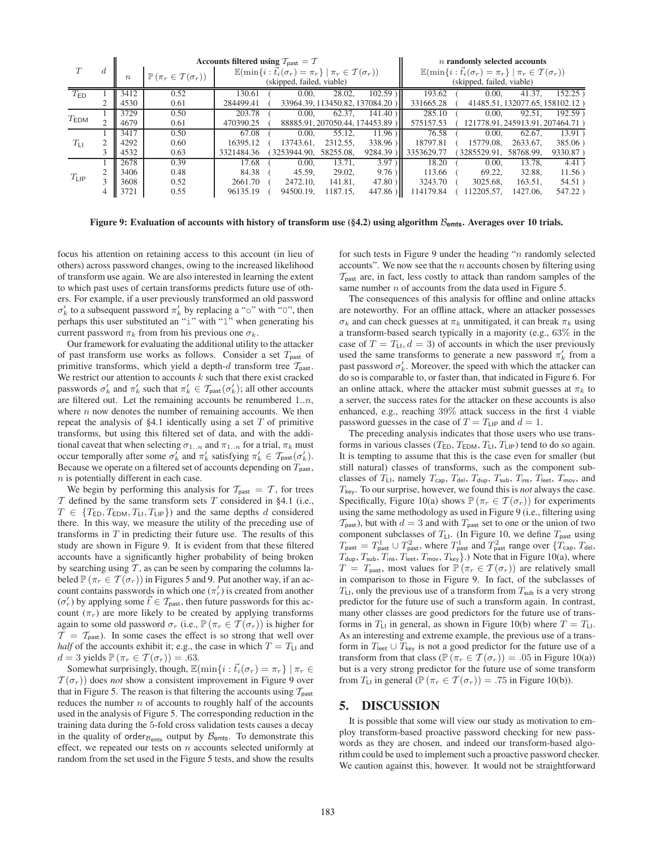|                  |   |           | $n$ randomly selected accounts                |            |                                                                                                                   |             |           |                                 |                      |                                                                                                                   |                                  |           |                                 |  |  |
|------------------|---|-----------|-----------------------------------------------|------------|-------------------------------------------------------------------------------------------------------------------|-------------|-----------|---------------------------------|----------------------|-------------------------------------------------------------------------------------------------------------------|----------------------------------|-----------|---------------------------------|--|--|
| T                | d | $n_{\rm}$ | $\mathbb{P}(\pi_r \in \mathcal{T}(\sigma_r))$ |            | $\mathbb{E}(\min\{i:\vec{t}_i(\sigma_r)=\pi_r\}\mid \pi_r\in \mathcal{T}(\sigma_r))$<br>(skipped, failed, viable) |             |           |                                 |                      | $\mathbb{E}(\min\{i:\vec{t}_i(\sigma_r)=\pi_r\}\mid \pi_r\in \mathcal{T}(\sigma_r))$<br>(skipped, failed, viable) |                                  |           |                                 |  |  |
| $T_{ED}$         |   | 3412      | 0.52                                          | 130.61     |                                                                                                                   | 0.00.       | 28.02,    | $102.59$ )                      | 193.62               |                                                                                                                   | 0.00.                            | 41.37.    | 152.25                          |  |  |
|                  |   | 4530      | 0.61                                          | 284499.41  |                                                                                                                   |             |           | 33964.39.113450.82.137084.20)   | 331665.28            |                                                                                                                   |                                  |           | 41485.51, 132077.65, 158102.12) |  |  |
| $T_{\sf EDM}$    |   | 3729      | 0.50                                          | 203.78     |                                                                                                                   | 0.00.       | 62.37.    | $141.40$ )                      | 285.10               |                                                                                                                   | 0.00.                            | 92.51.    | $192.59$ )                      |  |  |
|                  |   | 4679      | 0.61                                          | 470390.25  |                                                                                                                   |             |           | 88885.91, 207050.44, 174453.89) | 575157.53            |                                                                                                                   | 121778.91, 245913.91, 207464.71) |           |                                 |  |  |
|                  |   | 3417      | 0.50                                          | 67.08      |                                                                                                                   | 0.00.       | 55.12.    | $11.96$ )                       | 76.58                |                                                                                                                   | 0.00.                            | 62.67.    | 13.91)                          |  |  |
| $T_{\rm L1}$     |   | 4292      | 0.60                                          | 16395.12   |                                                                                                                   | 13743.61,   | 2312.55.  | $338.96$ )                      | 18797.81             |                                                                                                                   | 15779.08.                        | 2633.67.  | 385.06)                         |  |  |
|                  |   | 4532      | 0.63                                          | 3321484.36 |                                                                                                                   | 3253944.90. | 58255.08, |                                 | 9284.39 ) 3353629.77 |                                                                                                                   | 3285529.91,                      | 58768.99, | 9330.87)                        |  |  |
|                  |   | 2678      | 0.39                                          | 17.68      |                                                                                                                   | 0.00.       | 13.71.    | 3.97                            | 18.20                |                                                                                                                   | 0.00.                            | 13.78.    | 4.41)                           |  |  |
| $T_{\text{LIP}}$ |   | 3406      | 0.48                                          | 84.38      |                                                                                                                   | 45.59.      | 29.02.    | $9.76$ )                        | 113.66               |                                                                                                                   | 69.22.                           | 32.88,    | 11.56)                          |  |  |
|                  |   | 3608      | 0.52                                          | 2661.70    |                                                                                                                   | 2472.10.    | 141.81,   | $47.80$ )                       | 3243.70              |                                                                                                                   | 3025.68.                         | 163.51,   | 54.51)                          |  |  |
|                  |   | 3721      | 0.55                                          | 96135.19   |                                                                                                                   | 94500.19,   | 1187.15,  | $447.86$ )                      | 114179.84            |                                                                                                                   | 112205.57.                       | 1427.06.  | 547.22)                         |  |  |

**Figure 9: Evaluation of accounts with history of transform use (§4.2) using algorithm** B**emts. Averages over 10 trials.**

focus his attention on retaining access to this account (in lieu of others) across password changes, owing to the increased likelihood of transform use again. We are also interested in learning the extent to which past uses of certain transforms predicts future use of others. For example, if a user previously transformed an old password  $\sigma'_k$  to a subsequent password  $\pi'_k$  by replacing a "o" with "0", then perhaps this user substituted an "i" with "1" when generating his current password  $\pi_k$  from from his previous one  $\sigma_k$ .

Our framework for evaluating the additional utility to the attacker of past transform use works as follows. Consider a set  $T_{\text{past}}$  of primitive transforms, which yield a depth- $d$  transform tree  $\mathcal{T}_{\text{past}}$ . We restrict our attention to accounts  $k$  such that there exist cracked passwords  $\sigma'_k$  and  $\pi'_k$  such that  $\pi'_k \in \mathcal{T}_{\text{past}}(\sigma'_k)$ ; all other accounts are filtered out. Let the remaining accounts be renumbered 1..n, where  $n$  now denotes the number of remaining accounts. We then repeat the analysis of  $§4.1$  identically using a set  $T$  of primitive transforms, but using this filtered set of data, and with the additional caveat that when selecting  $\sigma_{1..n}$  and  $\pi_{1..n}$  for a trial,  $\pi_k$  must occur temporally after some  $\sigma'_k$  and  $\pi'_k$  satisfying  $\pi'_k \in \mathcal{T}_{\text{past}}(\sigma'_k)$ . Because we operate on a filtered set of accounts depending on  $T_{\text{past}}$ , n is potentially different in each case.

We begin by performing this analysis for  $T_{\text{past}} = T$ , for trees  $T$  defined by the same transform sets  $T$  considered in §4.1 (i.e.,  $T \in \{T_{ED}, T_{EDM}, T_{LI}, T_{LIP}\}\$  and the same depths d considered there. In this way, we measure the utility of the preceding use of transforms in  $T$  in predicting their future use. The results of this study are shown in Figure 9. It is evident from that these filtered accounts have a significantly higher probability of being broken by searching using  $\mathcal T$ , as can be seen by comparing the columns labeled  $\mathbb{P}(\pi_r \in \mathcal{T}(\sigma_r))$  in Figures 5 and 9. Put another way, if an account contains passwords in which one  $(\pi'_r)$  is created from another  $(\sigma'_r)$  by applying some  $\vec{t} \in \mathcal{T}_{\text{past}}$ , then future passwords for this account  $(\pi_r)$  are more likely to be created by applying transforms again to some old password  $\sigma_r$  (i.e.,  $\mathbb{P}(\pi_r \in \mathcal{T}(\sigma_r))$  is higher for  $\mathcal{T} = \mathcal{T}_{\text{past}}$ ). In some cases the effect is so strong that well over *half* of the accounts exhibit it; e.g., the case in which  $T = T_{\text{L}}$  and  $d = 3$  yields  $\mathbb{P}(\pi_r \in \mathcal{T}(\sigma_r)) = .63$ .

Somewhat surprisingly, though,  $\mathbb{E}(\min\{i : t_i(\sigma_r) = \pi_r\} | \pi_r \in$  $\mathcal{T}(\sigma_r)$ ) does *not* show a consistent improvement in Figure 9 over that in Figure 5. The reason is that filtering the accounts using  $T_{\text{past}}$ reduces the number  $n$  of accounts to roughly half of the accounts used in the analysis of Figure 5. The corresponding reduction in the training data during the 5-fold cross validation tests causes a decay in the quality of order $_{B_{\text{emts}}}$  output by  $B_{\text{emts}}$ . To demonstrate this effect, we repeated our tests on  $n$  accounts selected uniformly at random from the set used in the Figure 5 tests, and show the results for such tests in Figure 9 under the heading " $n$  randomly selected accounts". We now see that the  $n$  accounts chosen by filtering using  $\mathcal{T}_{\text{past}}$  are, in fact, less costly to attack than random samples of the same number *n* of accounts from the data used in Figure 5.

The consequences of this analysis for offline and online attacks are noteworthy. For an offline attack, where an attacker possesses  $\sigma_k$  and can check guesses at  $\pi_k$  unmitigated, it can break  $\pi_k$  using a transform-based search typically in a majority (e.g., 63% in the case of  $T = T_{\text{LI}}$ ,  $d = 3$ ) of accounts in which the user previously used the same transforms to generate a new password  $\pi'_{k}$  from a past password  $\sigma'_k$ . Moreover, the speed with which the attacker can do so is comparable to, or faster than, that indicated in Figure 6. For an online attack, where the attacker must submit guesses at  $\pi_k$  to a server, the success rates for the attacker on these accounts is also enhanced, e.g., reaching 39% attack success in the first 4 viable password guesses in the case of  $T = T_{\text{LIP}}$  and  $d = 1$ .

The preceding analysis indicates that those users who use transforms in various classes ( $T_{ED}$ ,  $T_{EDM}$ ,  $T_{LI}$ ,  $T_{LIP}$ ) tend to do so again. It is tempting to assume that this is the case even for smaller (but still natural) classes of transforms, such as the component subclasses of  $T_{\text{LI}}$ , namely  $T_{\text{cap}}$ ,  $T_{\text{del}}$ ,  $T_{\text{dup}}$ ,  $T_{\text{sub}}$ ,  $T_{\text{ins}}$ ,  $T_{\text{leet}}$ ,  $T_{\text{mov}}$ , and  $T_{\text{key}}$ . To our surprise, however, we found this is *not* always the case. Specifically, Figure 10(a) shows  $\mathbb{P}(\pi_r \in \mathcal{T}(\sigma_r))$  for experiments using the same methodology as used in Figure 9 (i.e., filtering using  $\mathcal{T}_{\text{past}}$ ), but with  $d = 3$  and with  $\mathcal{T}_{\text{past}}$  set to one or the union of two component subclasses of  $T_{\text{LI}}$ . (In Figure 10, we define  $T_{\text{past}}$  using  $T_{\text{past}} = T_{\text{past}}^1 \cup T_{\text{past}}^2$ , where  $T_{\text{past}}^1$  and  $T_{\text{past}}^2$  range over  $\{T_{\text{cap}}, T_{\text{del}},$  $T_{\text{dup}}$ ,  $T_{\text{sub}}$ ,  $T_{\text{ins}}$ ,  $T_{\text{leet}}$ ,  $T_{\text{mov}}$ ,  $T_{\text{key}}$ .) Note that in Figure 10(a), where  $T = T_{\text{past}}$ , most values for  $\mathbb{P}(\pi_r \in \mathcal{T}(\sigma_r))$  are relatively small in comparison to those in Figure 9. In fact, of the subclasses of  $T_{L1}$ , only the previous use of a transform from  $T_{sub}$  is a very strong predictor for the future use of such a transform again. In contrast, many other classes are good predictors for the future use of transforms in  $T_{\text{L1}}$  in general, as shown in Figure 10(b) where  $T = T_{\text{L1}}$ . As an interesting and extreme example, the previous use of a transform in  $T_{\text{leet}} \cup T_{\text{key}}$  is not a good predictor for the future use of a transform from that class ( $\mathbb{P}(\pi_r \in \mathcal{T}(\sigma_r)) = .05$  in Figure 10(a)) but is a very strong predictor for the future use of some transform from  $T_{\text{L}}$  in general ( $\mathbb{P}(\pi_r \in \mathcal{T}(\sigma_r)) = .75$  in Figure 10(b)).

#### **5. DISCUSSION**

It is possible that some will view our study as motivation to employ transform-based proactive password checking for new passwords as they are chosen, and indeed our transform-based algorithm could be used to implement such a proactive password checker. We caution against this, however. It would not be straightforward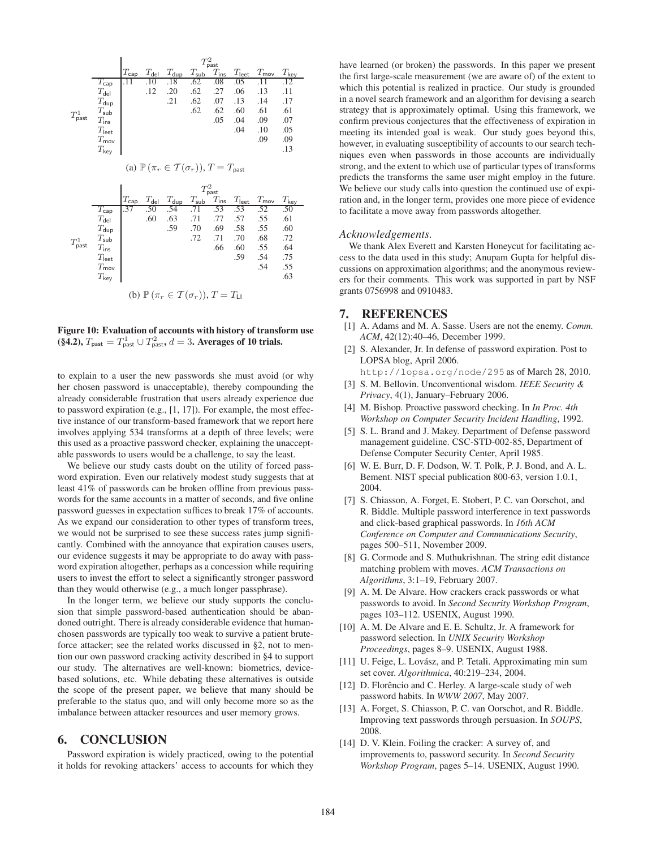

**Figure 10: Evaluation of accounts with history of transform use** (§4.2),  $T_{\text{past}} = T_{\text{past}}^1 \cup T_{\text{past}}^2$ ,  $d = 3$ . Averages of 10 trials.

to explain to a user the new passwords she must avoid (or why her chosen password is unacceptable), thereby compounding the already considerable frustration that users already experience due to password expiration (e.g., [1, 17]). For example, the most effective instance of our transform-based framework that we report here involves applying 534 transforms at a depth of three levels; were this used as a proactive password checker, explaining the unacceptable passwords to users would be a challenge, to say the least.

We believe our study casts doubt on the utility of forced password expiration. Even our relatively modest study suggests that at least 41% of passwords can be broken offline from previous passwords for the same accounts in a matter of seconds, and five online password guesses in expectation suffices to break 17% of accounts. As we expand our consideration to other types of transform trees, we would not be surprised to see these success rates jump significantly. Combined with the annoyance that expiration causes users, our evidence suggests it may be appropriate to do away with password expiration altogether, perhaps as a concession while requiring users to invest the effort to select a significantly stronger password than they would otherwise (e.g., a much longer passphrase).

In the longer term, we believe our study supports the conclusion that simple password-based authentication should be abandoned outright. There is already considerable evidence that humanchosen passwords are typically too weak to survive a patient bruteforce attacker; see the related works discussed in §2, not to mention our own password cracking activity described in §4 to support our study. The alternatives are well-known: biometrics, devicebased solutions, etc. While debating these alternatives is outside the scope of the present paper, we believe that many should be preferable to the status quo, and will only become more so as the imbalance between attacker resources and user memory grows.

## **6. CONCLUSION**

Password expiration is widely practiced, owing to the potential it holds for revoking attackers' access to accounts for which they

have learned (or broken) the passwords. In this paper we present the first large-scale measurement (we are aware of) of the extent to which this potential is realized in practice. Our study is grounded in a novel search framework and an algorithm for devising a search strategy that is approximately optimal. Using this framework, we confirm previous conjectures that the effectiveness of expiration in meeting its intended goal is weak. Our study goes beyond this, however, in evaluating susceptibility of accounts to our search techniques even when passwords in those accounts are individually strong, and the extent to which use of particular types of transforms predicts the transforms the same user might employ in the future. We believe our study calls into question the continued use of expiration and, in the longer term, provides one more piece of evidence to facilitate a move away from passwords altogether.

#### *Acknowledgements.*

We thank Alex Everett and Karsten Honeycut for facilitating access to the data used in this study; Anupam Gupta for helpful discussions on approximation algorithms; and the anonymous reviewers for their comments. This work was supported in part by NSF grants 0756998 and 0910483.

#### **7. REFERENCES**

- [1] A. Adams and M. A. Sasse. Users are not the enemy. *Comm. ACM*, 42(12):40–46, December 1999.
- [2] S. Alexander, Jr. In defense of password expiration. Post to LOPSA blog, April 2006.
- http://lopsa.org/node/295 as of March 28, 2010.
- [3] S. M. Bellovin. Unconventional wisdom. *IEEE Security & Privacy*, 4(1), January–February 2006.
- [4] M. Bishop. Proactive password checking. In *In Proc. 4th Workshop on Computer Security Incident Handling*, 1992.
- [5] S. L. Brand and J. Makey. Department of Defense password management guideline. CSC-STD-002-85, Department of Defense Computer Security Center, April 1985.
- [6] W. E. Burr, D. F. Dodson, W. T. Polk, P. J. Bond, and A. L. Bement. NIST special publication 800-63, version 1.0.1, 2004.
- [7] S. Chiasson, A. Forget, E. Stobert, P. C. van Oorschot, and R. Biddle. Multiple password interference in text passwords and click-based graphical passwords. In *16th ACM Conference on Computer and Communications Security*, pages 500–511, November 2009.
- [8] G. Cormode and S. Muthukrishnan. The string edit distance matching problem with moves. *ACM Transactions on Algorithms*, 3:1–19, February 2007.
- [9] A. M. De Alvare. How crackers crack passwords or what passwords to avoid. In *Second Security Workshop Program*, pages 103–112. USENIX, August 1990.
- [10] A. M. De Alvare and E. E. Schultz, Jr. A framework for password selection. In *UNIX Security Workshop Proceedings*, pages 8–9. USENIX, August 1988.
- [11] U. Feige, L. Lovász, and P. Tetali. Approximating min sum set cover. *Algorithmica*, 40:219–234, 2004.
- [12] D. Florêncio and C. Herley. A large-scale study of web password habits. In *WWW 2007*, May 2007.
- [13] A. Forget, S. Chiasson, P. C. van Oorschot, and R. Biddle. Improving text passwords through persuasion. In *SOUPS*, 2008.
- [14] D. V. Klein. Foiling the cracker: A survey of, and improvements to, password security. In *Second Security Workshop Program*, pages 5–14. USENIX, August 1990.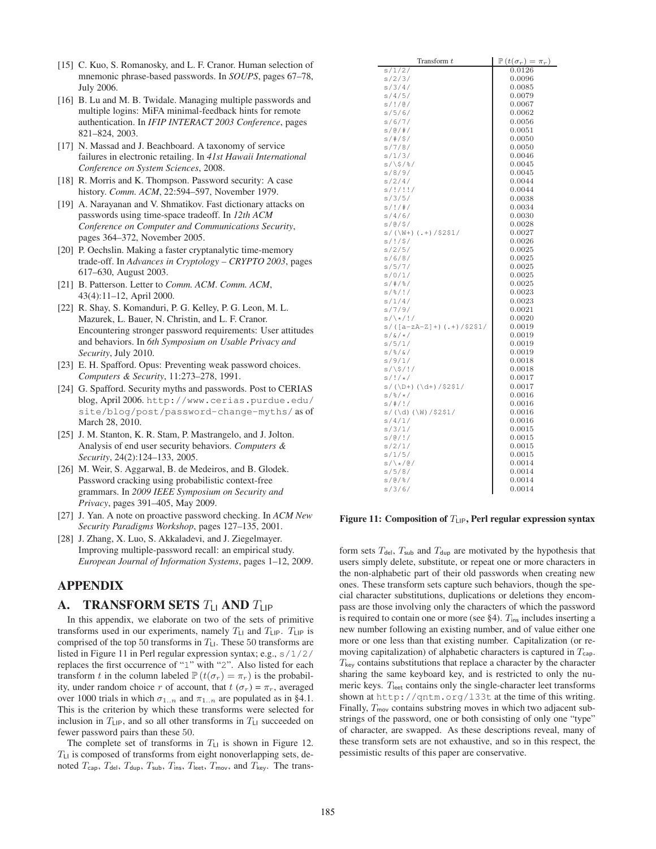- [15] C. Kuo, S. Romanosky, and L. F. Cranor. Human selection of mnemonic phrase-based passwords. In *SOUPS*, pages 67–78, July 2006.
- [16] B. Lu and M. B. Twidale. Managing multiple passwords and multiple logins: MiFA minimal-feedback hints for remote authentication. In *IFIP INTERACT 2003 Conference*, pages 821–824, 2003.
- [17] N. Massad and J. Beachboard. A taxonomy of service failures in electronic retailing. In *41st Hawaii International Conference on System Sciences*, 2008.
- [18] R. Morris and K. Thompson. Password security: A case history. *Comm. ACM*, 22:594–597, November 1979.
- [19] A. Narayanan and V. Shmatikov. Fast dictionary attacks on passwords using time-space tradeoff. In *12th ACM Conference on Computer and Communications Security*, pages 364–372, November 2005.
- [20] P. Oechslin. Making a faster cryptanalytic time-memory trade-off. In *Advances in Cryptology – CRYPTO 2003*, pages 617–630, August 2003.
- [21] B. Patterson. Letter to *Comm. ACM*. *Comm. ACM*, 43(4):11–12, April 2000.
- [22] R. Shay, S. Komanduri, P. G. Kelley, P. G. Leon, M. L. Mazurek, L. Bauer, N. Christin, and L. F. Cranor. Encountering stronger password requirements: User attitudes and behaviors. In *6th Symposium on Usable Privacy and Security*, July 2010.
- [23] E. H. Spafford. Opus: Preventing weak password choices. *Computers & Security*, 11:273–278, 1991.
- [24] G. Spafford. Security myths and passwords. Post to CERIAS blog, April 2006. http://www.cerias.purdue.edu/ site/blog/post/password-change-myths/ as of March 28, 2010.
- [25] J. M. Stanton, K. R. Stam, P. Mastrangelo, and J. Jolton. Analysis of end user security behaviors. *Computers & Security*, 24(2):124–133, 2005.
- [26] M. Weir, S. Aggarwal, B. de Medeiros, and B. Glodek. Password cracking using probabilistic context-free grammars. In *2009 IEEE Symposium on Security and Privacy*, pages 391–405, May 2009.
- [27] J. Yan. A note on proactive password checking. In *ACM New Security Paradigms Workshop*, pages 127–135, 2001.
- [28] J. Zhang, X. Luo, S. Akkaladevi, and J. Ziegelmayer. Improving multiple-password recall: an empirical study. *European Journal of Information Systems*, pages 1–12, 2009.

## **APPENDIX**

## **A. TRANSFORM SETS** TLI **AND** TLIP

In this appendix, we elaborate on two of the sets of primitive transforms used in our experiments, namely  $T_{\text{LI}}$  and  $T_{\text{LIP}}$ .  $T_{\text{LIP}}$  is comprised of the top 50 transforms in  $T<sub>L1</sub>$ . These 50 transforms are listed in Figure 11 in Perl regular expression syntax; e.g., s/1/2/ replaces the first occurrence of "1" with "2". Also listed for each transform t in the column labeled  $\mathbb{P}(t(\sigma_r) = \pi_r)$  is the probability, under random choice r of account, that  $t(\sigma_r) = \pi_r$ , averaged over 1000 trials in which  $\sigma_{1..n}$  and  $\pi_{1..n}$  are populated as in §4.1. This is the criterion by which these transforms were selected for inclusion in  $T_{\text{LIP}}$ , and so all other transforms in  $T_{\text{LI}}$  succeeded on fewer password pairs than these 50.

The complete set of transforms in  $T_{L1}$  is shown in Figure 12.  $T_{L1}$  is composed of transforms from eight nonoverlapping sets, denoted  $T_{\text{cap}}$ ,  $T_{\text{del}}$ ,  $T_{\text{dup}}$ ,  $T_{\text{sub}}$ ,  $T_{\text{ins}}$ ,  $T_{\text{leet}}$ ,  $T_{\text{mov}}$ , and  $T_{\text{key}}$ . The trans-

| Transform t                     | $\mathbb{P}\left(t(\sigma_r)=\pi_r\right)$ |
|---------------------------------|--------------------------------------------|
| s/1/2/                          | 0.0126                                     |
| s/2/3/                          | 0.0096                                     |
| s/3/4/                          | 0.0085                                     |
| s/4/5/                          | 0.0079                                     |
| s/!/@/                          | 0.0067                                     |
| s/5/6/                          | 0.0062                                     |
| s/6/7/                          | 0.0056                                     |
| s/@/#/                          | 0.0051                                     |
| $s/$ # / $s/$                   | 0.0050                                     |
| s/7/8/                          | 0.0050                                     |
| s/1/3/                          | 0.0046                                     |
| $s/\sqrt{s}/\sqrt{s}/$          | 0.0045                                     |
| s/8/9/                          | 0.0045                                     |
| s/2/4/                          | 0.0044                                     |
| s/!/!!/                         | 0.0044                                     |
| s/3/5/                          | 0.0038                                     |
| $s/!$ / $\#$ /                  | 0.0034                                     |
| s/4/6/                          | 0.0030                                     |
| s/0/5/                          | 0.0028                                     |
| $s/(W+)(.+)$ /\$2\$1/           | 0.0027                                     |
| s/!/s/                          | 0.0026                                     |
| s/2/5/                          | 0.0025                                     |
| s/6/8/                          | 0.0025                                     |
| s/5/7/                          | 0.0025                                     |
| s/0/1/                          | 0.0025                                     |
| s/#/%/                          | 0.0025                                     |
| $s$ /%/!/                       | 0.0023                                     |
| s/1/4/                          | 0.0023                                     |
| s/7/9/                          | 0.0021                                     |
| s/\*/!/                         | 0.0020                                     |
| s/([a-zA-Z]+)(.+)/\$2\$1/       | 0.0019                                     |
| $s/\delta/\kappa/$              | 0.0019                                     |
| s/5/1/                          | 0.0019                                     |
| $S/\%/\&/$                      | $_{0.0019}$                                |
| s/9/1/                          | 0.0018                                     |
| $s/\sqrt{s}/!$ /                | 0.0018                                     |
| $s/!/*/$                        | 0.0017                                     |
| s/(\D+)(\d+)/\$2\$1/            | 0.0017                                     |
| $s$ / $\frac{1}{2}$ / $\star$ / | 0.0016                                     |
| $s/$ $\#$ / !/                  | 0.0016                                     |
| s/(\d)(\W)/\$2\$1/              | 0.0016                                     |
| s/4/1/                          | 0.0016                                     |
| s/3/1/                          | 0.0015                                     |
| s/0/1/                          | 0.0015                                     |
| s/2/1/                          | 0.0015                                     |
| s/1/5/                          | 0.0015                                     |
| $s/\sqrt{e}/$                   | 0.0014                                     |
| s/5/8/                          | 0.0014                                     |
| s/0/8/                          | 0.0014                                     |
| s/3/6/                          | 0.0014                                     |

#### **Figure 11: Composition of** TLIP**, Perl regular expression syntax**

form sets  $T_{\text{del}}$ ,  $T_{\text{sub}}$  and  $T_{\text{dup}}$  are motivated by the hypothesis that users simply delete, substitute, or repeat one or more characters in the non-alphabetic part of their old passwords when creating new ones. These transform sets capture such behaviors, though the special character substitutions, duplications or deletions they encompass are those involving only the characters of which the password is required to contain one or more (see  $\S 4$ ).  $T_{ins}$  includes inserting a new number following an existing number, and of value either one more or one less than that existing number. Capitalization (or removing capitalization) of alphabetic characters is captured in  $T_{\text{cap}}$ .  $T_{\text{key}}$  contains substitutions that replace a character by the character sharing the same keyboard key, and is restricted to only the numeric keys.  $T_{\text{leet}}$  contains only the single-character leet transforms shown at http://qntm.org/l33t at the time of this writing. Finally,  $T_{\text{mov}}$  contains substring moves in which two adjacent substrings of the password, one or both consisting of only one "type" of character, are swapped. As these descriptions reveal, many of these transform sets are not exhaustive, and so in this respect, the pessimistic results of this paper are conservative.